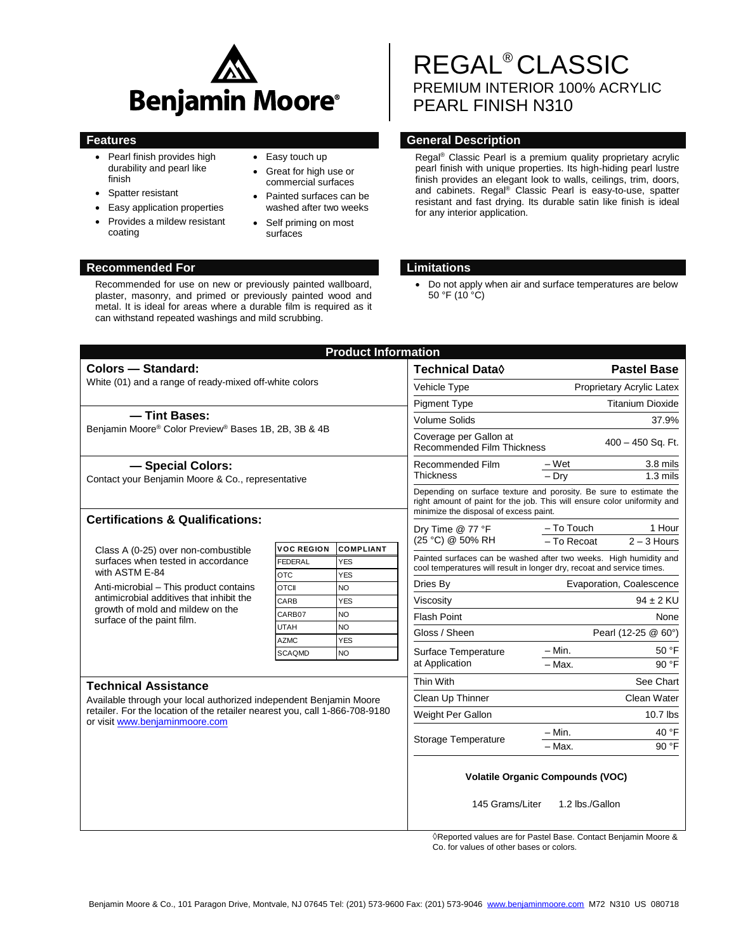

- Pearl finish provides high durability and pearl like finish
- Spatter resistant
- Easy application properties
- Provides a mildew resistant coating
- Easy touch up
- Great for high use or commercial surfaces
- Painted surfaces can be washed after two weeks
- Self priming on most surfaces

# REGAL® CLASSIC PREMIUM INTERIOR 100% ACRYLIC PEARL FINISH N310

# **Features Features General Description**

Regal® Classic Pearl is a premium quality proprietary acrylic pearl finish with unique properties. Its high-hiding pearl lustre finish provides an elegant look to walls, ceilings, trim, doors, and cabinets. Regal® Classic Pearl is easy-to-use, spatter resistant and fast drying. Its durable satin like finish is ideal for any interior application.

# **Recommended For Limitations**

 Do not apply when air and surface temperatures are below 50 °F (10 °C)

|                                                                                                                                                                                     |                              | <b>Product Information</b> |                                                                                                                                                                                          |                                                                                                                                             |               |  |
|-------------------------------------------------------------------------------------------------------------------------------------------------------------------------------------|------------------------------|----------------------------|------------------------------------------------------------------------------------------------------------------------------------------------------------------------------------------|---------------------------------------------------------------------------------------------------------------------------------------------|---------------|--|
| <b>Colors - Standard:</b>                                                                                                                                                           |                              |                            | <b>Technical Data</b> ♦                                                                                                                                                                  | <b>Pastel Base</b>                                                                                                                          |               |  |
| White (01) and a range of ready-mixed off-white colors                                                                                                                              |                              |                            | Vehicle Type                                                                                                                                                                             | Proprietary Acrylic Latex                                                                                                                   |               |  |
|                                                                                                                                                                                     |                              |                            | <b>Pigment Type</b>                                                                                                                                                                      | <b>Titanium Dioxide</b>                                                                                                                     |               |  |
| - Tint Bases:<br>Benjamin Moore® Color Preview® Bases 1B, 2B, 3B & 4B                                                                                                               |                              |                            | <b>Volume Solids</b>                                                                                                                                                                     | 37.9%                                                                                                                                       |               |  |
|                                                                                                                                                                                     |                              |                            | Coverage per Gallon at<br>400 - 450 Sq. Ft.<br>Recommended Film Thickness                                                                                                                |                                                                                                                                             |               |  |
| - Special Colors:                                                                                                                                                                   |                              |                            | Recommended Film<br><b>Thickness</b>                                                                                                                                                     | $-Wet$                                                                                                                                      | 3.8 mils      |  |
| Contact your Benjamin Moore & Co., representative                                                                                                                                   |                              |                            |                                                                                                                                                                                          | $-$ Drv                                                                                                                                     | $1.3$ mils    |  |
|                                                                                                                                                                                     |                              |                            | Depending on surface texture and porosity. Be sure to estimate the<br>right amount of paint for the job. This will ensure color uniformity and<br>minimize the disposal of excess paint. |                                                                                                                                             |               |  |
| <b>Certifications &amp; Qualifications:</b>                                                                                                                                         |                              |                            | Dry Time @ 77 °F                                                                                                                                                                         | $-$ To Touch                                                                                                                                | 1 Hour        |  |
|                                                                                                                                                                                     | <b>VOC REGION</b>            | <b>COMPLIANT</b>           | (25 °C) @ 50% RH                                                                                                                                                                         | - To Recoat                                                                                                                                 | $2 - 3$ Hours |  |
| Class A (0-25) over non-combustible<br>surfaces when tested in accordance                                                                                                           | FEDERAL                      | <b>YES</b>                 |                                                                                                                                                                                          | Painted surfaces can be washed after two weeks. High humidity and<br>cool temperatures will result in longer dry, recoat and service times. |               |  |
| with ASTM E-84                                                                                                                                                                      | <b>OTC</b>                   | <b>YES</b>                 |                                                                                                                                                                                          |                                                                                                                                             |               |  |
| Anti-microbial - This product contains<br>antimicrobial additives that inhibit the<br>growth of mold and mildew on the<br>surface of the paint film.                                | <b>OTCII</b>                 | NO                         | Dries By                                                                                                                                                                                 | Evaporation, Coalescence                                                                                                                    |               |  |
|                                                                                                                                                                                     | CARB                         | <b>YES</b>                 | Viscosity                                                                                                                                                                                |                                                                                                                                             | $94 \pm 2$ KU |  |
|                                                                                                                                                                                     | CARB07                       | <b>NO</b>                  | <b>Flash Point</b>                                                                                                                                                                       | None                                                                                                                                        |               |  |
|                                                                                                                                                                                     | <b>UTAH</b>                  | <b>NO</b><br><b>YES</b>    | Gloss / Sheen                                                                                                                                                                            | Pearl (12-25 @ 60°)                                                                                                                         |               |  |
|                                                                                                                                                                                     | <b>AZMC</b><br><b>SCAQMD</b> | <b>NO</b>                  | Surface Temperature<br>at Application                                                                                                                                                    | — Min.                                                                                                                                      | 50 °F         |  |
|                                                                                                                                                                                     |                              |                            |                                                                                                                                                                                          | - Max.                                                                                                                                      | 90 °F         |  |
| <b>Technical Assistance</b>                                                                                                                                                         |                              |                            | Thin With                                                                                                                                                                                |                                                                                                                                             | See Chart     |  |
| Available through your local authorized independent Benjamin Moore<br>retailer. For the location of the retailer nearest you, call 1-866-708-9180<br>or visit www.benjaminmoore.com |                              |                            | Clean Up Thinner                                                                                                                                                                         |                                                                                                                                             | Clean Water   |  |
|                                                                                                                                                                                     |                              |                            | Weight Per Gallon                                                                                                                                                                        |                                                                                                                                             | $10.7$ lbs    |  |
|                                                                                                                                                                                     |                              |                            |                                                                                                                                                                                          | $-$ Min.                                                                                                                                    | 40 °F         |  |
|                                                                                                                                                                                     |                              |                            | Storage Temperature                                                                                                                                                                      | - Max.                                                                                                                                      | 90 °F         |  |
|                                                                                                                                                                                     |                              |                            | <b>Volatile Organic Compounds (VOC)</b>                                                                                                                                                  |                                                                                                                                             |               |  |
|                                                                                                                                                                                     |                              |                            | 145 Grams/Liter<br>$\Delta$ Desential des la contrata de                                                                                                                                 | 1.2 lbs./Gallon<br>and fan Baatel Baas - Oantaat Bantonin Ma                                                                                |               |  |

Reported values are for Pastel Base. Contact Benjamin Moore & Co. for values of other bases or colors.

Recommended for use on new or previously painted wallboard, plaster, masonry, and primed or previously painted wood and metal. It is ideal for areas where a durable film is required as it can withstand repeated washings and mild scrubbing.